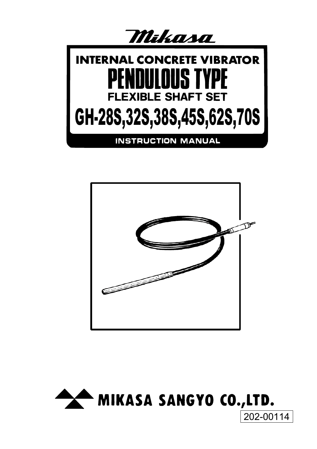



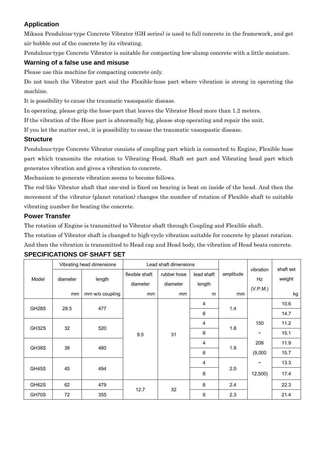# **Application**

Mikasa Pendulous-type Concrete Vibrator (GH series) is used to full concrete in the framework, and get air bubble out of the concrete by its vibrating.

Pendulous-type Concrete Vibrator is suitable for compacting low-slump concrete with a little moisture.

## **Warning of a false use and misuse**

Please use this machine for compacting concrete only.

Do not touch the Vibrator part and the Flexible-hose part where vibration is strong in operating the machine.

It is possibility to cause the traumatic vasospastic disease.

In operating, please grip the hose-part that leaves the Vibrator Head more than 1.2 meters.

If the vibration of the Hose part is abnormally big, please stop operating and repair the unit.

If you let the matter rest, it is possibility to cause the traumatic vasospastic disease.

## **Structure**

Pendulous-type Concrete Vibrator consists of coupling part which is connected to Engine, Flexible hose part which transmits the rotation to Vibrating Head, Shaft set part and Vibrating head part which generates vibration and gives a vibration to concrete.

Mechanism to generate vibration seems to become follows.

The rod-like Vibrator shaft that one-end is fixed on bearing is beat on inside of the head. And then the movement of the vibrator (planet rotation) changes the number of rotation of Flexible shaft to suitable vibrating number for beating the concrete.

## **Power Transfer**

The rotation of Engine is transmitted to Vibrator shaft through Coupling and Flexible shaft.

The rotation of Vibrator shaft is changed to high-cycle vibration suitable for concrete by planet rotation. And then the vibration is transmitted to Head cap and Head body, the vibration of Head beats concrete.

|                    | Vibrating head dimensions |                 | Lead shaft dimensions      |                         |                      |           |                       |                     |
|--------------------|---------------------------|-----------------|----------------------------|-------------------------|----------------------|-----------|-----------------------|---------------------|
| Model              | diameter                  | length          | flexible shaft<br>diameter | rubber hose<br>diameter | lead shaft<br>length | amplitude | vibration<br>Hz       | shaft set<br>weight |
|                    | mm                        | mm w/o coupling | mm                         | mm                      | m                    | mm        | (V.P.M.)              | kg                  |
| GH <sub>28</sub> S | 28.5                      | 477             | 9.5                        | 31                      | $\overline{4}$       | 1.4       |                       | 10.6                |
|                    |                           |                 |                            |                         | 6                    |           |                       | 14.7                |
| GH32S              | 32                        | 520             |                            |                         | $\overline{4}$       | 1.8       | 150                   | 11.2                |
|                    |                           |                 |                            |                         | $\,6$                |           | $\tilde{}$            | 15.1                |
| GH38S              | 38                        | 480             |                            |                         | 4                    | 1.8       | 208                   | 11.9                |
|                    |                           |                 |                            |                         | 6                    |           | (9,000)               | 15.7                |
| <b>GH45S</b>       | 45                        | 494             |                            |                         | 4                    | 2.0       | $\tilde{\phantom{a}}$ | 13.3                |
|                    |                           |                 |                            |                         | $\,6$                |           | 12,500)               | 17.4                |
| GH62S              | 62                        | 479             |                            |                         | 6                    | 2.4       |                       | 22.3                |
| GH70S              | 72                        | 355             | 12.7                       | 32                      | $\,6$                | 2.3       |                       | 21.4                |

## **SPECIFICATIONS OF SHAFT SET**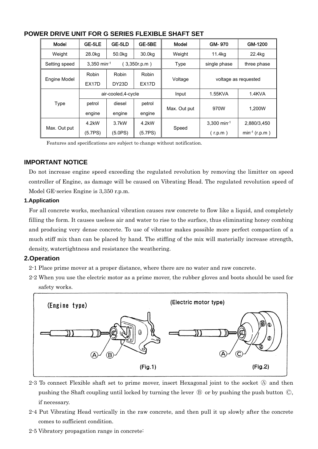| Model         | GE-5LE             | GE-5LD              | GE-5BE             | Model        | GM-970               | GM-1200            |  |
|---------------|--------------------|---------------------|--------------------|--------------|----------------------|--------------------|--|
| Weight        | 28.0kg             | 50.0kg              | 30.0kg             | Weight       | 11.4kg               | 22.4kg             |  |
| Setting speed | $3,350$ min-1      |                     | (3,350r.p.m)       | Type         | single phase         | three phase        |  |
|               | Robin              | Robin               | Robin              |              | voltage as requested |                    |  |
| Engine Model  | EX <sub>17</sub> D | DY23D               | EX <sub>17</sub> D | Voltage      |                      |                    |  |
|               |                    | air-cooled, 4-cycle |                    | Input        | 1.55KVA              | $1.4$ KVA          |  |
| Type          | petrol             | diesel              | petrol             |              | 970W                 | 1.200W             |  |
|               | engine             | engine              | engine             | Max. Out put |                      |                    |  |
|               | 4.2kW              | 3.7kW               | 4.2kW              |              | 3.300 min-1          | 2,880/3,450        |  |
| Max. Out put  | (5.7PS)            | (5.0PS)             | (5.7PS)            | Speed        | (r.p.m)              | $min^{-1} (r.p.m)$ |  |

## **POWER DRIVE UNIT FOR G SERIES FLEXIBLE SHAFT SET**

Features and specifications are subject to change without notification.

#### **IMPORTANT NOTICE**

Do not increase engine speed exceeding the regulated revolution by removing the limitter on speed controller of Engine, as damage will be caused on Vibrating Head. The regulated revolution speed of Model GE-series Engine is 3,350 r.p.m.

#### **1.Application**

For all concrete works, mechanical vibration causes raw concrete to flow like a liquid, and completely filling the form. It causes useless air and water to rise to the surface, thus eliminating honey combing and producing very dense concrete. To use of vibrator makes possible more perfect compaction of a much stiff mix than can be placed by hand. The stiffing of the mix will materially increase strength, density, watertightness and resistance the weathering.

## **2.Operation**

2-1 Place prime mover at a proper distance, where there are no water and raw concrete.

2-2 When you use the electric motor as a prime mover, the rubber gloves and boots should be used for safety works.



- 2.3 To connect Flexible shaft set to prime mover, insert Hexagonal joint to the socket  $\circledA$  and then pushing the Shaft coupling until locked by turning the lever  $\mathcal B$  or by pushing the push button  $\mathbb C$ , if necessary.
- 2-4 Put Vibrating Head vertically in the raw concrete, and then pull it up slowly after the concrete comes to sufficient condition.
- 2-5 Vibratory propagation range in concrete: